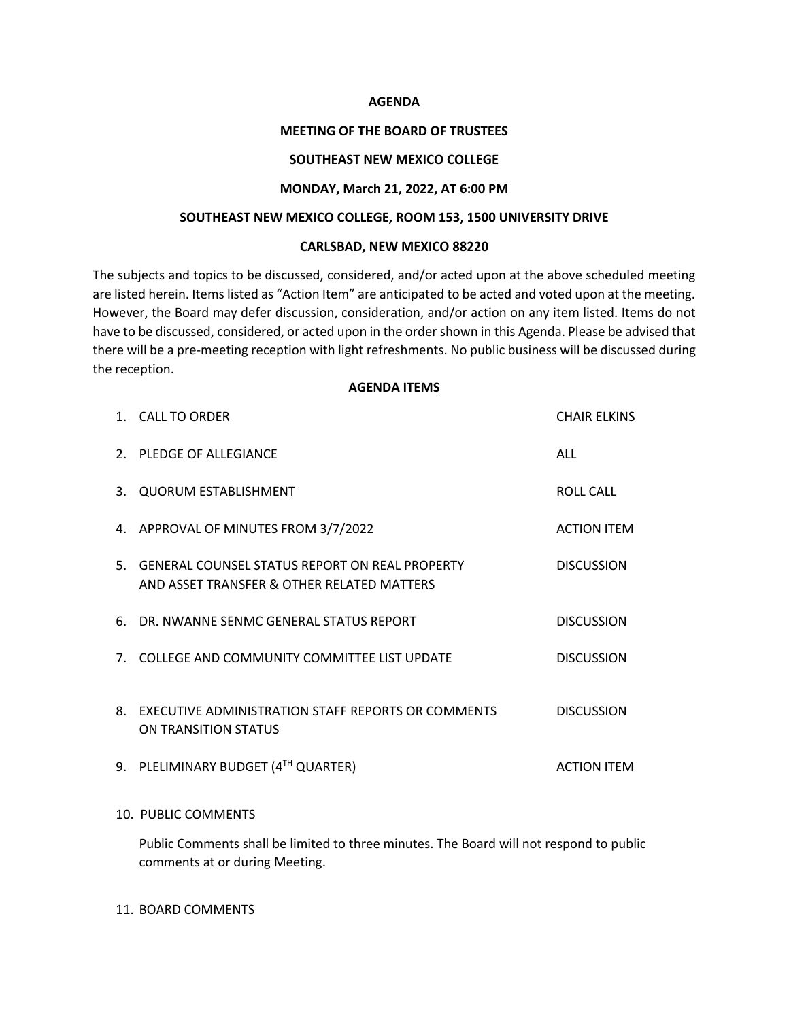### **AGENDA**

# **MEETING OF THE BOARD OF TRUSTEES**

# **SOUTHEAST NEW MEXICO COLLEGE**

## **MONDAY, March 21, 2022, AT 6:00 PM**

## **SOUTHEAST NEW MEXICO COLLEGE, ROOM 153, 1500 UNIVERSITY DRIVE**

### **CARLSBAD, NEW MEXICO 88220**

The subjects and topics to be discussed, considered, and/or acted upon at the above scheduled meeting are listed herein. Items listed as "Action Item" are anticipated to be acted and voted upon at the meeting. However, the Board may defer discussion, consideration, and/or action on any item listed. Items do not have to be discussed, considered, or acted upon in the order shown in this Agenda. Please be advised that there will be a pre-meeting reception with light refreshments. No public business will be discussed during the reception.

# **AGENDA ITEMS**

|    | 1. CALL TO ORDER                                                                                | <b>CHAIR ELKINS</b> |
|----|-------------------------------------------------------------------------------------------------|---------------------|
|    | 2. PLEDGE OF ALLEGIANCE                                                                         | ALL                 |
|    | 3. QUORUM ESTABLISHMENT                                                                         | <b>ROLL CALL</b>    |
|    | 4. APPROVAL OF MINUTES FROM 3/7/2022                                                            | <b>ACTION ITEM</b>  |
|    | 5. GENERAL COUNSEL STATUS REPORT ON REAL PROPERTY<br>AND ASSET TRANSFER & OTHER RELATED MATTERS | <b>DISCUSSION</b>   |
| 6. | DR. NWANNE SENMC GENERAL STATUS REPORT                                                          | <b>DISCUSSION</b>   |
|    | 7. COLLEGE AND COMMUNITY COMMITTEE LIST UPDATE                                                  | <b>DISCUSSION</b>   |
| 8. | EXECUTIVE ADMINISTRATION STAFF REPORTS OR COMMENTS<br>ON TRANSITION STATUS                      | <b>DISCUSSION</b>   |
|    | 9. PLELIMINARY BUDGET (4TH QUARTER)                                                             | <b>ACTION ITEM</b>  |
|    |                                                                                                 |                     |

# 10. PUBLIC COMMENTS

Public Comments shall be limited to three minutes. The Board will not respond to public comments at or during Meeting.

### 11. BOARD COMMENTS